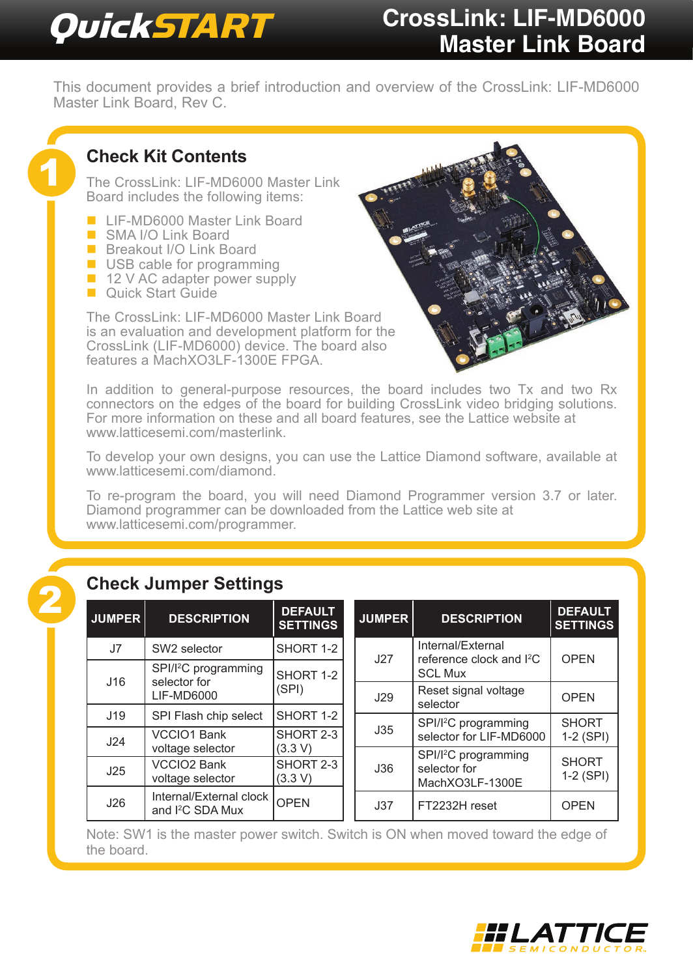# QuickSTART **CrossLink: LIF-MD6000 Master Link Board**

This document provides a brief introduction and overview of the CrossLink: LIF-MD6000 Master Link Board, Rev C.

## **Check Kit Contents**

The CrossLink: LIF-MD6000 Master Link Board includes the following items:

- **LIF-MD6000 Master Link Board**
- SMA I/O Link Board

1

- **Breakout I/O Link Board**
- USB cable for programming
- $\blacksquare$  12 V AC adapter power supply
- **Duick Start Guide**

The CrossLink: LIF-MD6000 Master Link Board is an evaluation and development platform for the CrossLink (LIF-MD6000) device. The board also features a MachXO3LF-1300E FPGA.

In addition to general-purpose resources, the board includes two Tx and two Rx connectors on the edges of the board for building CrossLink video bridging solutions. For more information on these and all board features, see the Lattice website at [www.latticesemi.com/masterlink](http://www.latticesemi.com/masterlink).

To develop your own designs, you can use the Lattice Diamond software, available at [www.latticesemi.com/diamond](http://www.latticesemi.com/diamond).

To re-program the board, you will need Diamond Programmer version 3.7 or later. Diamond programmer can be downloaded from the Lattice web site at [www.latticesemi.com/programmer](http://www.latticesemi.com/programmer).

|               | <b>Check Jumper Settings</b>                                          |                                   |  |  |  |  |  |  |
|---------------|-----------------------------------------------------------------------|-----------------------------------|--|--|--|--|--|--|
| <b>JUMPER</b> | <b>DESCRIPTION</b>                                                    | <b>DEFAULT</b><br><b>SETTINGS</b> |  |  |  |  |  |  |
| J7            | SW2 selector                                                          | SHORT 1-2                         |  |  |  |  |  |  |
| J16           | SPI/I <sup>2</sup> C programming<br>selector for<br><b>LIF-MD6000</b> | SHORT 1-2<br>(SPI)                |  |  |  |  |  |  |
| J19           | SPI Flash chip select                                                 | SHORT 1-2                         |  |  |  |  |  |  |
| J24           | <b>VCCIO1 Bank</b><br>voltage selector                                | SHORT 2-3<br>(3.3 V)              |  |  |  |  |  |  |
| J25           | <b>VCCIO2 Bank</b><br>voltage selector                                | SHORT 2-3<br>(3.3 V)              |  |  |  |  |  |  |
| J26           | Internal/External clock<br>and I <sup>2</sup> C SDA Mux               | OPEN                              |  |  |  |  |  |  |

| <b>JUMPER</b> | <b>DESCRIPTION</b>                                                          | <b>DEFAULT</b><br><b>SETTINGS</b> |  |
|---------------|-----------------------------------------------------------------------------|-----------------------------------|--|
| J27           | Internal/External<br>reference clock and I <sup>2</sup> C<br><b>SCL Mux</b> | OPEN                              |  |
| J29           | Reset signal voltage<br>selector                                            | OPEN                              |  |
| J35           | SPI/I <sup>2</sup> C programming<br>selector for LIF-MD6000                 | <b>SHORT</b><br>1-2 (SPI)         |  |
| J36           | SPI/I <sup>2</sup> C programming<br>selector for<br>MachXO3LF-1300E         |                                   |  |
| J37           | FT2232H reset                                                               | OPEN                              |  |

Note: SW1 is the master power switch. Switch is ON when moved toward the edge of the board.